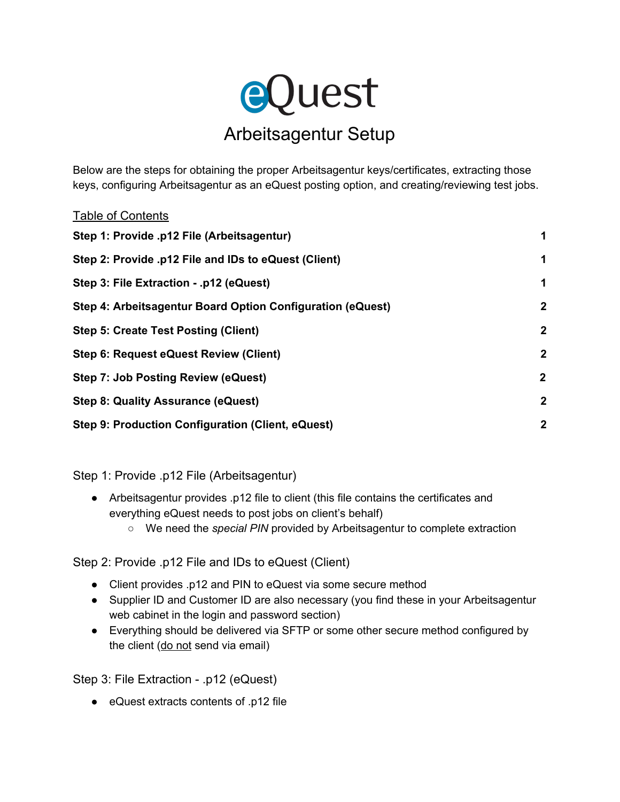

Below are the steps for obtaining the proper Arbeitsagentur keys/certificates, extracting those keys, configuring Arbeitsagentur as an eQuest posting option, and creating/reviewing test jobs.

| <b>Table of Contents</b>                                   |                  |
|------------------------------------------------------------|------------------|
| Step 1: Provide .p12 File (Arbeitsagentur)                 | 1                |
| Step 2: Provide .p12 File and IDs to eQuest (Client)       | 1                |
| Step 3: File Extraction - .p12 (eQuest)                    | 1                |
| Step 4: Arbeitsagentur Board Option Configuration (eQuest) | $\boldsymbol{2}$ |
| <b>Step 5: Create Test Posting (Client)</b>                | $\mathbf{2}$     |
| Step 6: Request eQuest Review (Client)                     | $\mathbf{2}$     |
| <b>Step 7: Job Posting Review (eQuest)</b>                 | $\mathbf{2}$     |
| <b>Step 8: Quality Assurance (eQuest)</b>                  | $\mathbf{2}$     |
| Step 9: Production Configuration (Client, eQuest)          | $\mathbf{2}$     |
|                                                            |                  |

<span id="page-0-1"></span>Step 1: Provide .p12 File (Arbeitsagentur)

- Arbeitsagentur provides .p12 file to client (this file contains the certificates and everything eQuest needs to post jobs on client's behalf)
	- We need the *special PIN* provided by Arbeitsagentur to complete extraction

<span id="page-0-2"></span>Step 2: Provide .p12 File and IDs to eQuest (Client)

- Client provides .p12 and PIN to eQuest via some secure method
- Supplier ID and Customer ID are also necessary (you find these in your Arbeitsagentur web cabinet in the login and password section)
- Everything should be delivered via SFTP or some other secure method configured by the client (do not send via email)

<span id="page-0-0"></span>Step 3: File Extraction - .p12 (eQuest)

● eQuest extracts contents of .p12 file